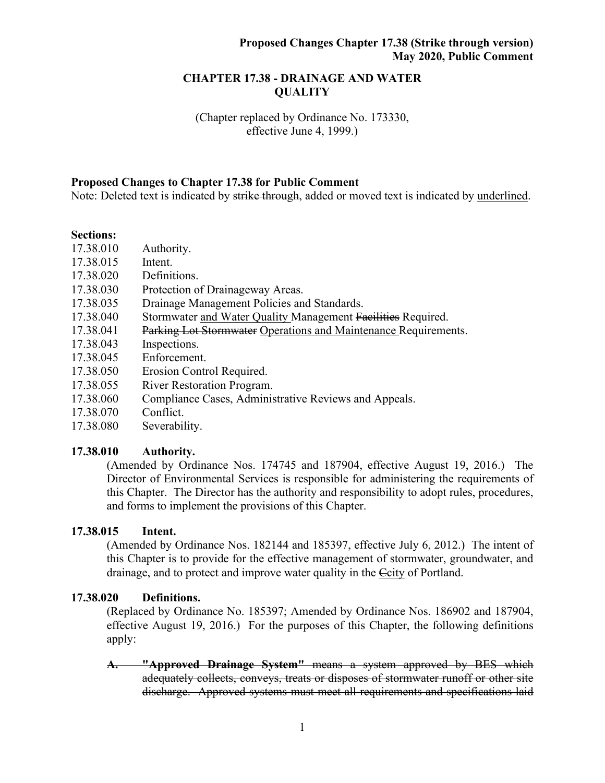## **CHAPTER 17.38 - DRAINAGE AND WATER QUALITY**

(Chapter replaced by Ordinance No. 173330, effective June 4, 1999.)

#### **Proposed Changes to Chapter 17.38 for Public Comment**

Note: Deleted text is indicated by strike through, added or moved text is indicated by underlined.

#### **Sections:**

- 17.38.010 Authority.
- 17.38.015 Intent.
- 17.38.020 Definitions.
- 17.38.030 Protection of Drainageway Areas.
- 17.38.035 Drainage Management Policies and Standards.
- 17.38.040 Stormwater and Water Quality Management Facilities Required.
- 17.38.041 Parking Lot Stormwater Operations and Maintenance Requirements.
- 17.38.043 Inspections.
- 17.38.045 Enforcement.
- 17.38.050 Erosion Control Required.
- 17.38.055 River Restoration Program.
- 17.38.060 Compliance Cases, Administrative Reviews and Appeals.
- 17.38.070 Conflict.
- 17.38.080 Severability.

#### **17.38.010 Authority.**

(Amended by Ordinance Nos. 174745 and 187904, effective August 19, 2016.) The Director of Environmental Services is responsible for administering the requirements of this Chapter. The Director has the authority and responsibility to adopt rules, procedures, and forms to implement the provisions of this Chapter.

#### **17.38.015 Intent.**

(Amended by Ordinance Nos. 182144 and 185397, effective July 6, 2012.) The intent of this Chapter is to provide for the effective management of stormwater, groundwater, and drainage, and to protect and improve water quality in the Ccity of Portland.

### **17.38.020 Definitions.**

(Replaced by Ordinance No. 185397; Amended by Ordinance Nos. 186902 and 187904, effective August 19, 2016.) For the purposes of this Chapter, the following definitions apply:

**A. "Approved Drainage System"** means a system approved by BES which adequately collects, conveys, treats or disposes of stormwater runoff or other site discharge. Approved systems must meet all requirements and specifications laid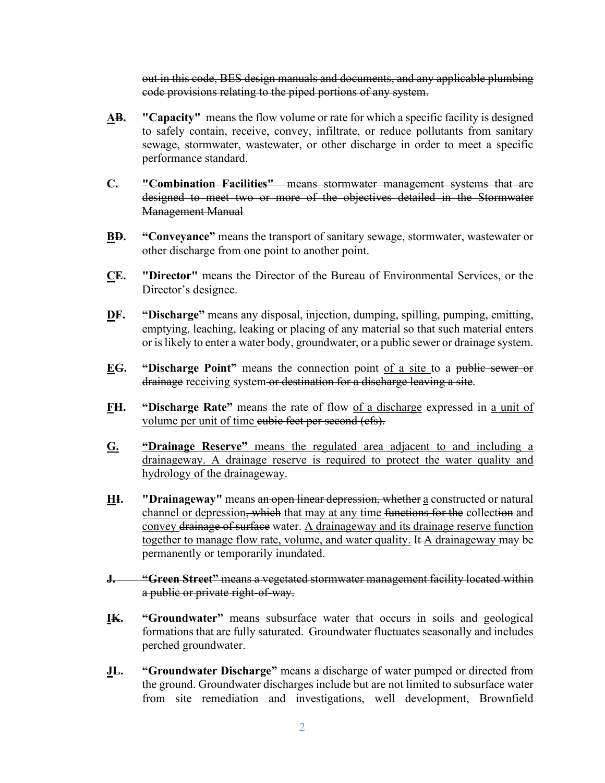out in this code, BES design manuals and documents, and any applicable plumbing code provisions relating to the piped portions of any system.

- **AB. "Capacity"** means the flow volume or rate for which a specific facility is designed to safely contain, receive, convey, infiltrate, or reduce pollutants from sanitary sewage, stormwater, wastewater, or other discharge in order to meet a specific performance standard.
- **C. "Combination Facilities"** means stormwater management systems that are designed to meet two or more of the objectives detailed in the Stormwater Management Manual
- **BD. "Conveyance"** means the transport of sanitary sewage, stormwater, wastewater or other discharge from one point to another point.
- **CE. "Director"** means the Director of the Bureau of Environmental Services, or the Director's designee.
- **DF. "Discharge"** means any disposal, injection, dumping, spilling, pumping, emitting, emptying, leaching, leaking or placing of any material so that such material enters or is likely to enter a water body, groundwater, or a public sewer or drainage system.
- **EG. "Discharge Point"** means the connection point of a site to a public sewer or drainage receiving system or destination for a discharge leaving a site.
- **FH. "Discharge Rate"** means the rate of flow of a discharge expressed in a unit of volume per unit of time eubic feet per second (cfs).
- **G. "Drainage Reserve"** means the regulated area adjacent to and including a drainageway. A drainage reserve is required to protect the water quality and hydrology of the drainageway.
- **HI. "Drainageway"** means an open linear depression, whether a constructed or natural channel or depression, which that may at any time functions for the collection and convey drainage of surface water. A drainageway and its drainage reserve function together to manage flow rate, volume, and water quality. It A drainageway may be permanently or temporarily inundated.
- **J. "Green Street"** means a vegetated stormwater management facility located within a public or private right-of-way.
- **IK. "Groundwater"** means subsurface water that occurs in soils and geological formations that are fully saturated. Groundwater fluctuates seasonally and includes perched groundwater.
- **JL. "Groundwater Discharge"** means a discharge of water pumped or directed from the ground. Groundwater discharges include but are not limited to subsurface water from site remediation and investigations, well development, Brownfield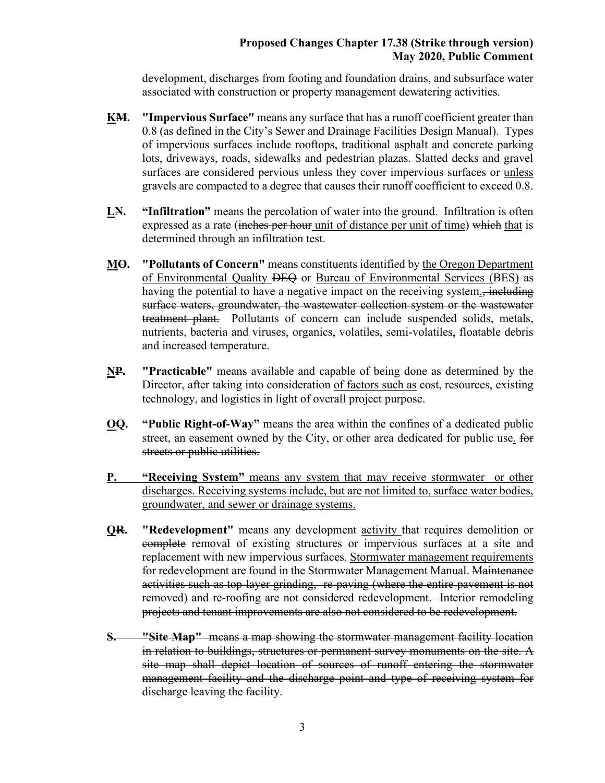development, discharges from footing and foundation drains, and subsurface water associated with construction or property management dewatering activities.

- **KM. "Impervious Surface"** means any surface that has a runoff coefficient greater than 0.8 (as defined in the City's Sewer and Drainage Facilities Design Manual). Types of impervious surfaces include rooftops, traditional asphalt and concrete parking lots, driveways, roads, sidewalks and pedestrian plazas. Slatted decks and gravel surfaces are considered pervious unless they cover impervious surfaces or unless gravels are compacted to a degree that causes their runoff coefficient to exceed 0.8.
- **LN. "Infiltration"** means the percolation of water into the ground. Infiltration is often expressed as a rate (inches per hour unit of distance per unit of time) which that is determined through an infiltration test.
- **MO. "Pollutants of Concern"** means constituents identified by the Oregon Department of Environmental Quality DEQ or Bureau of Environmental Services (BES) as having the potential to have a negative impact on the receiving system., including surface waters, groundwater, the wastewater collection system or the wastewater treatment plant. Pollutants of concern can include suspended solids, metals, nutrients, bacteria and viruses, organics, volatiles, semi-volatiles, floatable debris and increased temperature.
- **NP. "Practicable"** means available and capable of being done as determined by the Director, after taking into consideration of factors such as cost, resources, existing technology, and logistics in light of overall project purpose.
- **OQ. "Public Right-of-Way"** means the area within the confines of a dedicated public street, an easement owned by the City, or other area dedicated for public use. for streets or public utilities.
- **P. "Receiving System"** means any system that may receive stormwater or other discharges. Receiving systems include, but are not limited to, surface water bodies, groundwater, and sewer or drainage systems.
- **QR. "Redevelopment"** means any development activity that requires demolition or complete removal of existing structures or impervious surfaces at a site and replacement with new impervious surfaces. Stormwater management requirements for redevelopment are found in the Stormwater Management Manual. Maintenance activities such as top-layer grinding, re-paving (where the entire pavement is not removed) and re-roofing are not considered redevelopment. Interior remodeling projects and tenant improvements are also not considered to be redevelopment.
- **S. "Site Map"** means a map showing the stormwater management facility location in relation to buildings, structures or permanent survey monuments on the site. A site map shall depict location of sources of runoff entering the stormwater management facility and the discharge point and type of receiving system for discharge leaving the facility.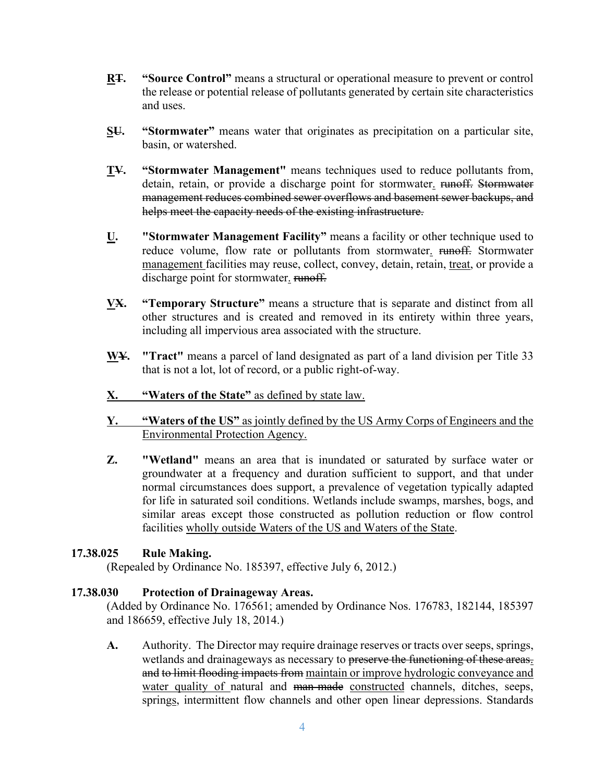- **RT. "Source Control"** means a structural or operational measure to prevent or control the release or potential release of pollutants generated by certain site characteristics and uses.
- **SU. "Stormwater"** means water that originates as precipitation on a particular site, basin, or watershed.
- **TV. "Stormwater Management"** means techniques used to reduce pollutants from, detain, retain, or provide a discharge point for stormwater. runoff. Stormwater management reduces combined sewer overflows and basement sewer backups, and helps meet the capacity needs of the existing infrastructure.
- **U. "Stormwater Management Facility"** means a facility or other technique used to reduce volume, flow rate or pollutants from stormwater. runoff. Stormwater management facilities may reuse, collect, convey, detain, retain, treat, or provide a discharge point for stormwater. runoff.
- **VX. "Temporary Structure"** means a structure that is separate and distinct from all other structures and is created and removed in its entirety within three years, including all impervious area associated with the structure.
- **WY. "Tract"** means a parcel of land designated as part of a land division per Title 33 that is not a lot, lot of record, or a public right-of-way.
- **X. "Waters of the State"** as defined by state law.
- **Y. "Waters of the US"** as jointly defined by the US Army Corps of Engineers and the Environmental Protection Agency.
- **Z. "Wetland"** means an area that is inundated or saturated by surface water or groundwater at a frequency and duration sufficient to support, and that under normal circumstances does support, a prevalence of vegetation typically adapted for life in saturated soil conditions. Wetlands include swamps, marshes, bogs, and similar areas except those constructed as pollution reduction or flow control facilities wholly outside Waters of the US and Waters of the State.

#### **17.38.025 Rule Making.**

(Repealed by Ordinance No. 185397, effective July 6, 2012.)

# **17.38.030 Protection of Drainageway Areas.**

(Added by Ordinance No. 176561; amended by Ordinance Nos. 176783, 182144, 185397 and 186659, effective July 18, 2014.)

**A.** Authority. The Director may require drainage reserves or tracts over seeps, springs, wetlands and drainageways as necessary to preserve the functioning of these areas. and to limit flooding impacts from maintain or improve hydrologic conveyance and water quality of natural and man-made constructed channels, ditches, seeps, springs, intermittent flow channels and other open linear depressions. Standards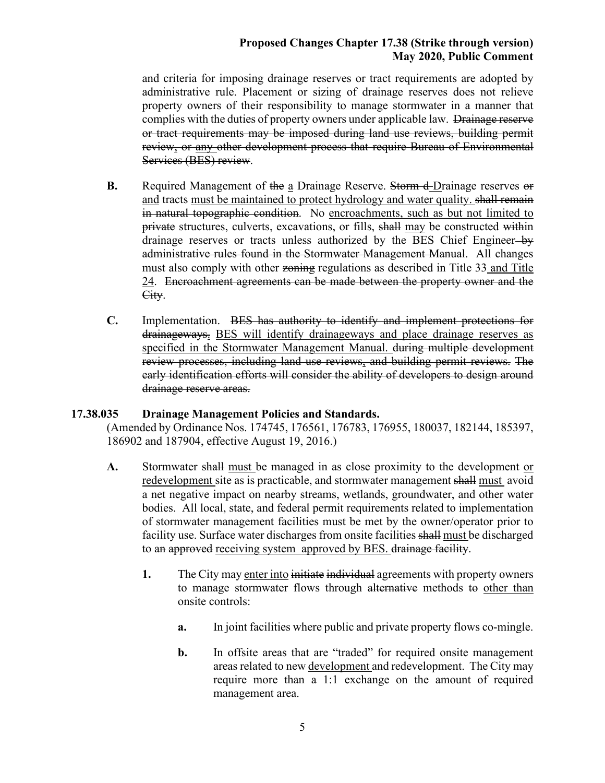and criteria for imposing drainage reserves or tract requirements are adopted by administrative rule. Placement or sizing of drainage reserves does not relieve property owners of their responsibility to manage stormwater in a manner that complies with the duties of property owners under applicable law. Drainage reserve or tract requirements may be imposed during land use reviews, building permit review, or any other development process that require Bureau of Environmental Services (BES) review.

- **B.** Required Management of the a Drainage Reserve. Storm d-Drainage reserves or and tracts must be maintained to protect hydrology and water quality. shall remain in natural topographic condition. No encroachments, such as but not limited to private structures, culverts, excavations, or fills, shall may be constructed within drainage reserves or tracts unless authorized by the BES Chief Engineer-by administrative rules found in the Stormwater Management Manual. All changes must also comply with other zoning regulations as described in Title 33 and Title 24. Encroachment agreements can be made between the property owner and the City.
- **C.** Implementation. BES has authority to identify and implement protections for drainageways. BES will identify drainageways and place drainage reserves as specified in the Stormwater Management Manual. during multiple development review processes, including land use reviews, and building permit reviews. The early identification efforts will consider the ability of developers to design around drainage reserve areas.

# **17.38.035 Drainage Management Policies and Standards.**

(Amended by Ordinance Nos. 174745, 176561, 176783, 176955, 180037, 182144, 185397, 186902 and 187904, effective August 19, 2016.)

- A. Stormwater shall must be managed in as close proximity to the development or redevelopment site as is practicable, and stormwater management shall must avoid a net negative impact on nearby streams, wetlands, groundwater, and other water bodies. All local, state, and federal permit requirements related to implementation of stormwater management facilities must be met by the owner/operator prior to facility use. Surface water discharges from onsite facilities shall must be discharged to an approved receiving system approved by BES. drainage facility.
	- **1.** The City may enter into initiate individual agreements with property owners to manage stormwater flows through alternative methods to other than onsite controls:
		- **a.** In joint facilities where public and private property flows co-mingle.
		- **b.** In offsite areas that are "traded" for required onsite management areas related to new development and redevelopment. The City may require more than a 1:1 exchange on the amount of required management area.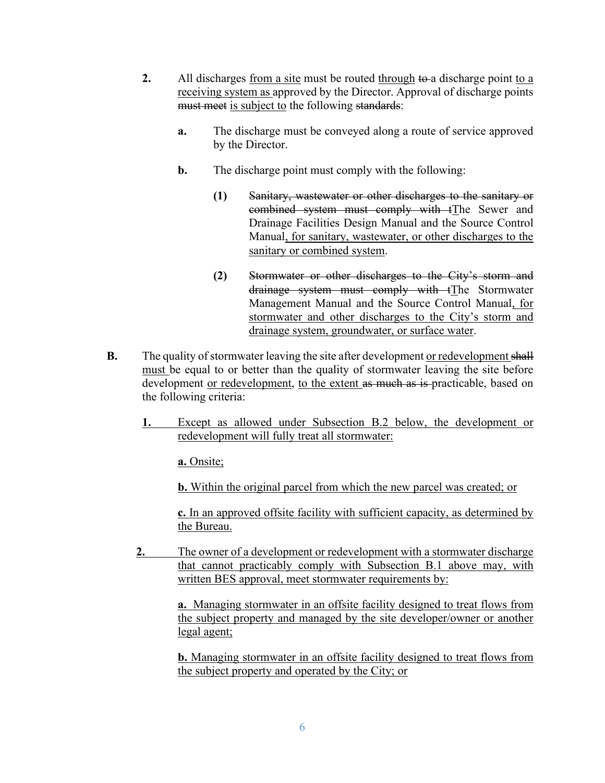- **2.** All discharges from a site must be routed through to a discharge point to a receiving system as approved by the Director. Approval of discharge points must meet is subject to the following standards:
	- **a.** The discharge must be conveyed along a route of service approved by the Director.
	- **b.** The discharge point must comply with the following:
		- **(1)** Sanitary, wastewater or other discharges to the sanitary or combined system must comply with tThe Sewer and Drainage Facilities Design Manual and the Source Control Manual, for sanitary, wastewater, or other discharges to the sanitary or combined system.
		- **(2)** Stormwater or other discharges to the City's storm and drainage system must comply with tThe Stormwater Management Manual and the Source Control Manual, for stormwater and other discharges to the City's storm and drainage system, groundwater, or surface water.
- **B.** The quality of stormwater leaving the site after development or redevelopment shall must be equal to or better than the quality of stormwater leaving the site before development or redevelopment, to the extent as much as is-practicable, based on the following criteria:
	- **1.** Except as allowed under Subsection B.2 below, the development or redevelopment will fully treat all stormwater:

**a.** Onsite;

**b.** Within the original parcel from which the new parcel was created; or

**c.** In an approved offsite facility with sufficient capacity, as determined by the Bureau.

**2.** The owner of a development or redevelopment with a stormwater discharge that cannot practicably comply with Subsection B.1 above may, with written BES approval, meet stormwater requirements by:

> **a.** Managing stormwater in an offsite facility designed to treat flows from the subject property and managed by the site developer/owner or another legal agent;

> **b.** Managing stormwater in an offsite facility designed to treat flows from the subject property and operated by the City; or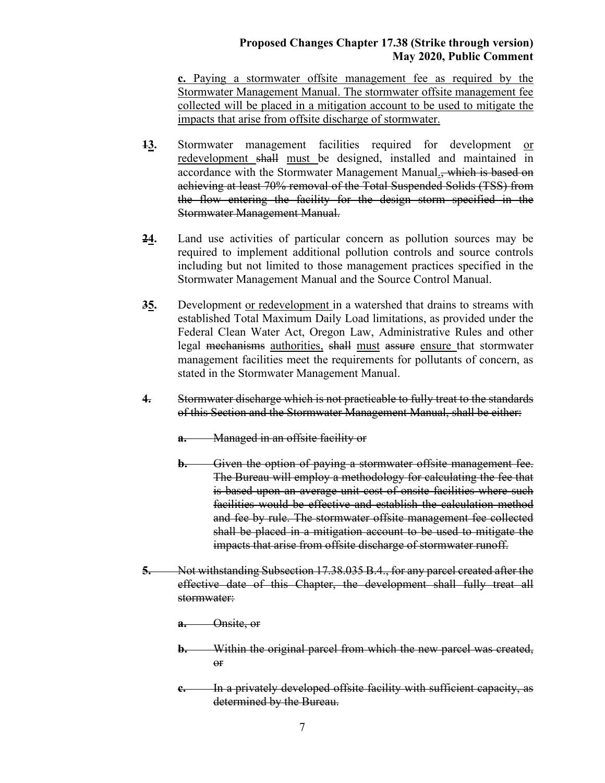**c.** Paying a stormwater offsite management fee as required by the Stormwater Management Manual. The stormwater offsite management fee collected will be placed in a mitigation account to be used to mitigate the impacts that arise from offsite discharge of stormwater.

- **13.** Stormwater management facilities required for development or redevelopment shall must be designed, installed and maintained in accordance with the Stormwater Management Manual., which is based on achieving at least 70% removal of the Total Suspended Solids (TSS) from the flow entering the facility for the design storm specified in the Stormwater Management Manual.
- **24.** Land use activities of particular concern as pollution sources may be required to implement additional pollution controls and source controls including but not limited to those management practices specified in the Stormwater Management Manual and the Source Control Manual.
- **35.** Development or redevelopment in a watershed that drains to streams with established Total Maximum Daily Load limitations, as provided under the Federal Clean Water Act, Oregon Law, Administrative Rules and other legal mechanisms authorities, shall must assure ensure that stormwater management facilities meet the requirements for pollutants of concern, as stated in the Stormwater Management Manual.
- **4.** Stormwater discharge which is not practicable to fully treat to the standards of this Section and the Stormwater Management Manual, shall be either:
	- **a.** Managed in an offsite facility or
	- **b.** Given the option of paying a stormwater offsite management fee. The Bureau will employ a methodology for calculating the fee that is based upon an average unit cost of onsite facilities where such facilities would be effective and establish the calculation method and fee by rule. The stormwater offsite management fee collected shall be placed in a mitigation account to be used to mitigate the impacts that arise from offsite discharge of stormwater runoff.
- **5.** Not withstanding Subsection 17.38.035 B.4., for any parcel created after the effective date of this Chapter, the development shall fully treat all stormwater:

**a.** Onsite, or

- **b.** Within the original parcel from which the new parcel was created, or
- **c.** In a privately developed offsite facility with sufficient capacity, as determined by the Bureau.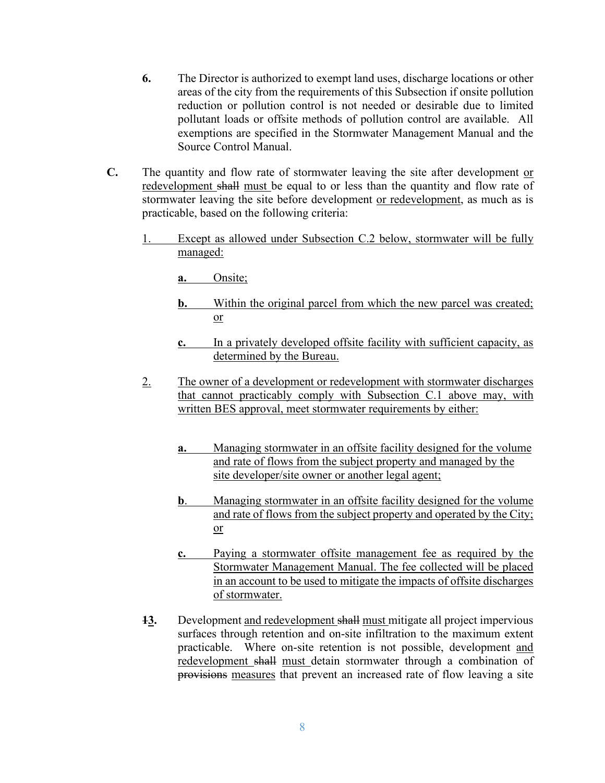- **6.** The Director is authorized to exempt land uses, discharge locations or other areas of the city from the requirements of this Subsection if onsite pollution reduction or pollution control is not needed or desirable due to limited pollutant loads or offsite methods of pollution control are available. All exemptions are specified in the Stormwater Management Manual and the Source Control Manual.
- **C.** The quantity and flow rate of stormwater leaving the site after development or redevelopment shall must be equal to or less than the quantity and flow rate of stormwater leaving the site before development or redevelopment, as much as is practicable, based on the following criteria:
	- Except as allowed under Subsection C.2 below, stormwater will be fully managed:

**a.** Onsite;

- **b.** Within the original parcel from which the new parcel was created; or
- **c.** In a privately developed offsite facility with sufficient capacity, as determined by the Bureau.
- 2. The owner of a development or redevelopment with stormwater discharges that cannot practicably comply with Subsection C.1 above may, with written BES approval, meet stormwater requirements by either:
	- **a.** Managing stormwater in an offsite facility designed for the volume and rate of flows from the subject property and managed by the site developer/site owner or another legal agent;
	- **b**. Managing stormwater in an offsite facility designed for the volume and rate of flows from the subject property and operated by the City; or
	- **c.** Paying a stormwater offsite management fee as required by the Stormwater Management Manual. The fee collected will be placed in an account to be used to mitigate the impacts of offsite discharges of stormwater.
- **13.** Development and redevelopment shall must mitigate all project impervious surfaces through retention and on-site infiltration to the maximum extent practicable. Where on-site retention is not possible, development and redevelopment shall must detain stormwater through a combination of provisions measures that prevent an increased rate of flow leaving a site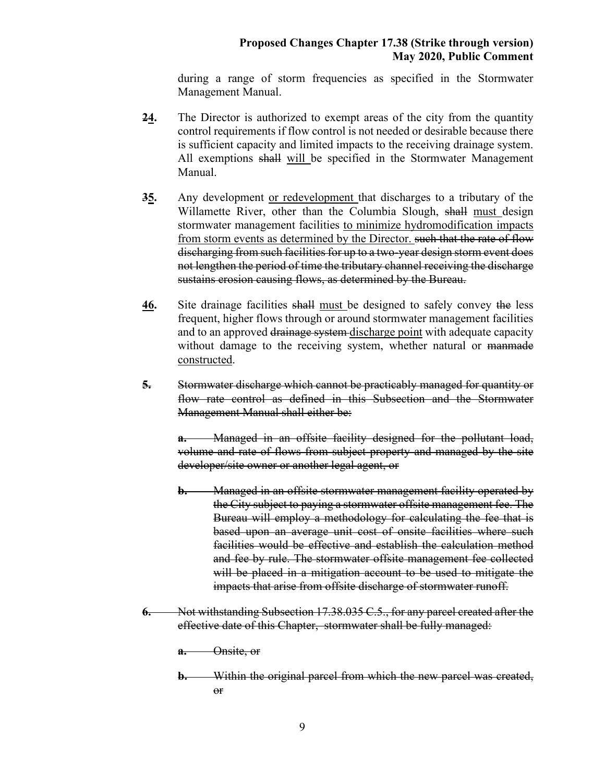during a range of storm frequencies as specified in the Stormwater Management Manual.

- **24.** The Director is authorized to exempt areas of the city from the quantity control requirements if flow control is not needed or desirable because there is sufficient capacity and limited impacts to the receiving drainage system. All exemptions shall will be specified in the Stormwater Management Manual.
- **35.** Any development or redevelopment that discharges to a tributary of the Willamette River, other than the Columbia Slough, shall must design stormwater management facilities to minimize hydromodification impacts from storm events as determined by the Director. such that the rate of flow discharging from such facilities for up to a two-year design storm event does not lengthen the period of time the tributary channel receiving the discharge sustains erosion causing flows, as determined by the Bureau.
- **46.** Site drainage facilities shall must be designed to safely convey the less frequent, higher flows through or around stormwater management facilities and to an approved drainage system-discharge point with adequate capacity without damage to the receiving system, whether natural or manimate constructed.
- **5.** Stormwater discharge which cannot be practicably managed for quantity or flow rate control as defined in this Subsection and the Stormwater Management Manual shall either be:

**a.** Managed in an offsite facility designed for the pollutant load, volume and rate of flows from subject property and managed by the site developer/site owner or another legal agent, or

- **b.** Managed in an offsite stormwater management facility operated by the City subject to paying a stormwater offsite management fee. The Bureau will employ a methodology for calculating the fee that is based upon an average unit cost of onsite facilities where such facilities would be effective and establish the calculation method and fee by rule. The stormwater offsite management fee collected will be placed in a mitigation account to be used to mitigate the impacts that arise from offsite discharge of stormwater runoff.
- **6.** Not withstanding Subsection 17.38.035 C.5., for any parcel created after the effective date of this Chapter, stormwater shall be fully managed:
	- **a.** Onsite, or
	- **b.** Within the original parcel from which the new parcel was created, or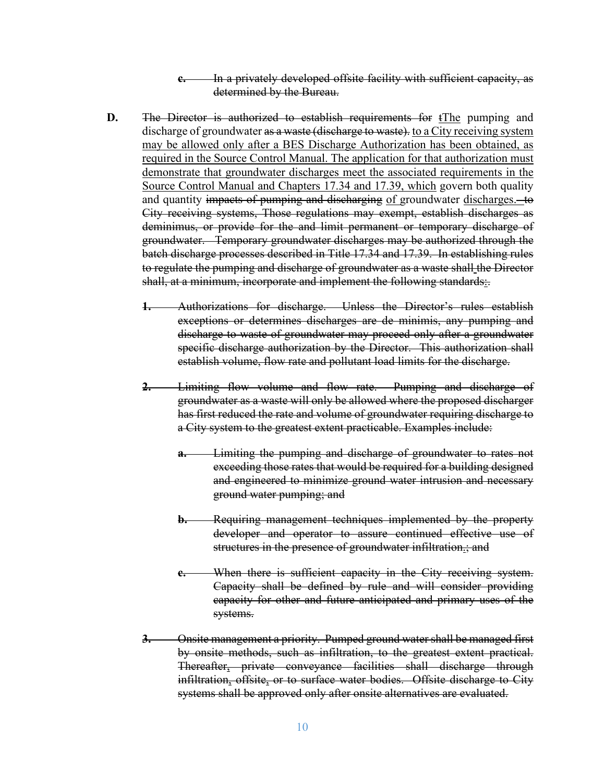**c.** In a privately developed offsite facility with sufficient capacity, as determined by the Bureau.

- **D.** The Director is authorized to establish requirements for tThe pumping and discharge of groundwater as a waste (discharge to waste), to a City receiving system may be allowed only after a BES Discharge Authorization has been obtained, as required in the Source Control Manual. The application for that authorization must demonstrate that groundwater discharges meet the associated requirements in the Source Control Manual and Chapters 17.34 and 17.39, which govern both quality and quantity impacts of pumping and discharging of groundwater discharges. to City receiving systems, Those regulations may exempt, establish discharges as deminimus, or provide for the and limit permanent or temporary discharge of groundwater. Temporary groundwater discharges may be authorized through the batch discharge processes described in Title 17.34 and 17.39. In establishing rules to regulate the pumping and discharge of groundwater as a waste shall the Director shall, at a minimum, incorporate and implement the following standards:
	- **1.** Authorizations for discharge. Unless the Director's rules establish exceptions or determines discharges are de minimis, any pumping and discharge to waste of groundwater may proceed only after a groundwater specific discharge authorization by the Director. This authorization shall establish volume, flow rate and pollutant load limits for the discharge.
	- **2.** Limiting flow volume and flow rate. Pumping and discharge of groundwater as a waste will only be allowed where the proposed discharger has first reduced the rate and volume of groundwater requiring discharge to a City system to the greatest extent practicable. Examples include:
		- **a.** Limiting the pumping and discharge of groundwater to rates not exceeding those rates that would be required for a building designed and engineered to minimize ground water intrusion and necessary ground water pumping; and
		- **b.** Requiring management techniques implemented by the property developer and operator to assure continued effective use of structures in the presence of groundwater infiltration.; and
		- When there is sufficient capacity in the City receiving system. Capacity shall be defined by rule and will consider providing capacity for other and future anticipated and primary uses of the systems.
	- **3.** Onsite management a priority. Pumped ground water shall be managed first by onsite methods, such as infiltration, to the greatest extent practical. Thereafter, private conveyance facilities shall discharge through infiltration, offsite, or to surface water bodies. Offsite discharge to City systems shall be approved only after onsite alternatives are evaluated.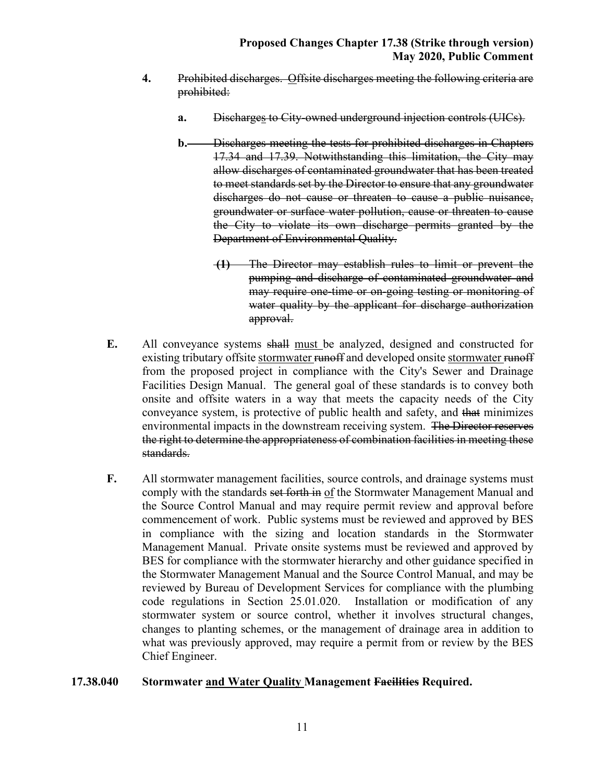- **4.** Prohibited discharges. Offsite discharges meeting the following criteria are prohibited:
	- **a.** Discharges to City-owned underground injection controls (UICs).
	- **b.** Discharges meeting the tests for prohibited discharges in Chapters 17.34 and 17.39. Notwithstanding this limitation, the City may allow discharges of contaminated groundwater that has been treated to meet standards set by the Director to ensure that any groundwater discharges do not cause or threaten to cause a public nuisance, groundwater or surface water pollution, cause or threaten to cause the City to violate its own discharge permits granted by the Department of Environmental Quality.
		- **(1)** The Director may establish rules to limit or prevent the pumping and discharge of contaminated groundwater and may require one-time or on-going testing or monitoring of water quality by the applicant for discharge authorization approval.
- **E.** All conveyance systems shall must be analyzed, designed and constructed for existing tributary offsite stormwater runoff and developed onsite stormwater runoff from the proposed project in compliance with the City's Sewer and Drainage Facilities Design Manual. The general goal of these standards is to convey both onsite and offsite waters in a way that meets the capacity needs of the City conveyance system, is protective of public health and safety, and that minimizes environmental impacts in the downstream receiving system. The Director reserves the right to determine the appropriateness of combination facilities in meeting these standards.
- **F.** All stormwater management facilities, source controls, and drainage systems must comply with the standards set forth in of the Stormwater Management Manual and the Source Control Manual and may require permit review and approval before commencement of work. Public systems must be reviewed and approved by BES in compliance with the sizing and location standards in the Stormwater Management Manual. Private onsite systems must be reviewed and approved by BES for compliance with the stormwater hierarchy and other guidance specified in the Stormwater Management Manual and the Source Control Manual, and may be reviewed by Bureau of Development Services for compliance with the plumbing code regulations in Section 25.01.020. Installation or modification of any stormwater system or source control, whether it involves structural changes, changes to planting schemes, or the management of drainage area in addition to what was previously approved, may require a permit from or review by the BES Chief Engineer.

#### **17.38.040 Stormwater and Water Quality Management Facilities Required.**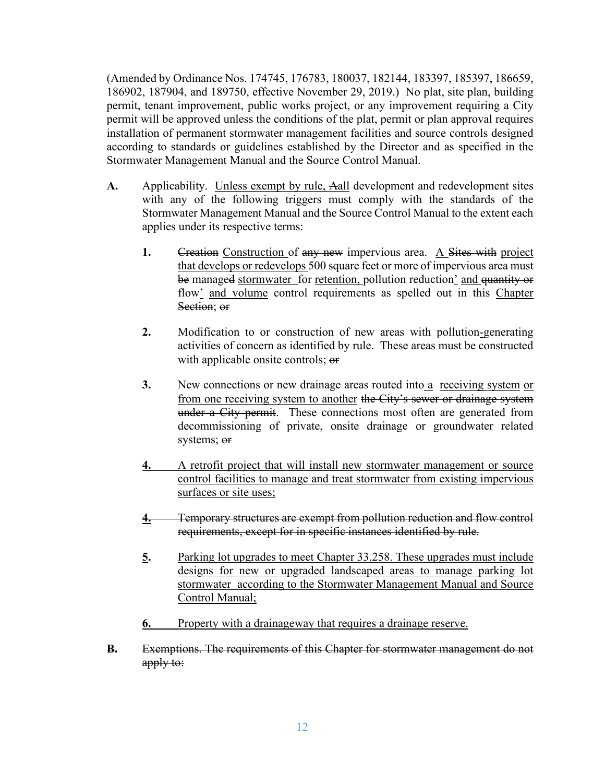(Amended by Ordinance Nos. 174745, 176783, 180037, 182144, 183397, 185397, 186659, 186902, 187904, and 189750, effective November 29, 2019.) No plat, site plan, building permit, tenant improvement, public works project, or any improvement requiring a City permit will be approved unless the conditions of the plat, permit or plan approval requires installation of permanent stormwater management facilities and source controls designed according to standards or guidelines established by the Director and as specified in the Stormwater Management Manual and the Source Control Manual.

- **A.** Applicability. Unless exempt by rule, Aall development and redevelopment sites with any of the following triggers must comply with the standards of the Stormwater Management Manual and the Source Control Manual to the extent each applies under its respective terms:
	- **1.** Creation Construction of any new impervious area. A Sites with project that develops or redevelops 500 square feet or more of impervious area must be managed stormwater for retention, pollution reduction' and quantity or flow' and volume control requirements as spelled out in this Chapter Section; or
	- **2.** Modification to or construction of new areas with pollution-generating activities of concern as identified by rule. These areas must be constructed with applicable onsite controls; or
	- **3.** New connections or new drainage areas routed into a receiving system or from one receiving system to another the City's sewer or drainage system under a City permit. These connections most often are generated from decommissioning of private, onsite drainage or groundwater related systems; or
	- **4.** A retrofit project that will install new stormwater management or source control facilities to manage and treat stormwater from existing impervious surfaces or site uses;
	- **4.** Temporary structures are exempt from pollution reduction and flow control requirements, except for in specific instances identified by rule.
	- **5.** Parking lot upgrades to meet Chapter 33.258. These upgrades must include designs for new or upgraded landscaped areas to manage parking lot stormwater according to the Stormwater Management Manual and Source Control Manual;
	- **6.** Property with a drainageway that requires a drainage reserve.
- **B.** Exemptions. The requirements of this Chapter for stormwater management do not apply to: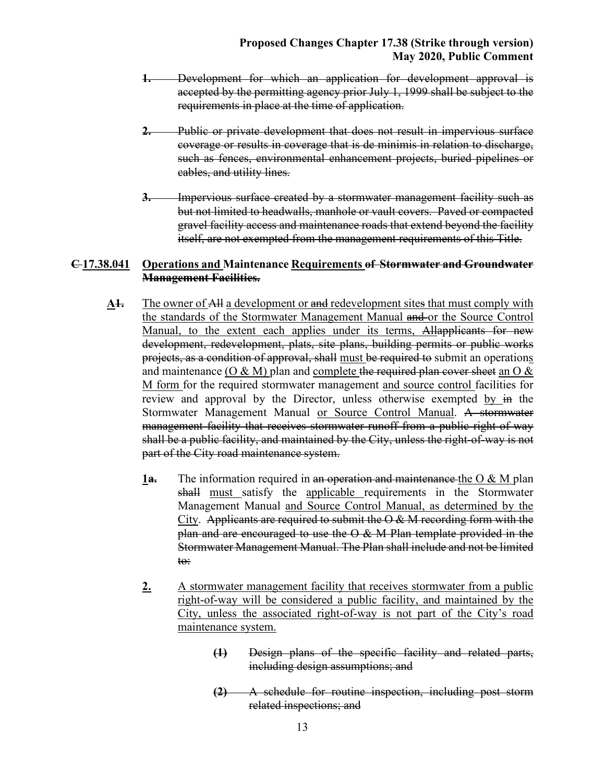- **1.** Development for which an application for development approval is accepted by the permitting agency prior July 1, 1999 shall be subject to the requirements in place at the time of application.
- **2.** Public or private development that does not result in impervious surface coverage or results in coverage that is de minimis in relation to discharge, such as fences, environmental enhancement projects, buried pipelines or cables, and utility lines.
- **3.** Impervious surface created by a stormwater management facility such as but not limited to headwalls, manhole or vault covers. Paved or compacted gravel facility access and maintenance roads that extend beyond the facility itself, are not exempted from the management requirements of this Title.

### **C 17.38.041 Operations and Maintenance Requirements of Stormwater and Groundwater Management Facilities.**

- **A1.** The owner of All a development or and redevelopment sites that must comply with the standards of the Stormwater Management Manual and or the Source Control Manual, to the extent each applies under its terms, Allapplicants for new development, redevelopment, plats, site plans, building permits or public works projects, as a condition of approval, shall must be required to submit an operations and maintenance ( $O & M$ ) plan and complete the required plan cover sheet an  $O &$ M form for the required stormwater management and source control facilities for review and approval by the Director, unless otherwise exempted by in the Stormwater Management Manual or Source Control Manual. A stormwater management facility that receives stormwater runoff from a public right-of-way shall be a public facility, and maintained by the City, unless the right-of-way is not part of the City road maintenance system.
	- **1a.** The information required in an operation and maintenance the O & M plan shall must satisfy the applicable requirements in the Stormwater Management Manual and Source Control Manual, as determined by the City. Applicants are required to submit the O & M recording form with the plan and are encouraged to use the O & M Plan template provided in the Stormwater Management Manual. The Plan shall include and not be limited to:
	- **2.** A stormwater management facility that receives stormwater from a public right-of-way will be considered a public facility, and maintained by the City, unless the associated right-of-way is not part of the City's road maintenance system.
		- **(1)** Design plans of the specific facility and related parts, including design assumptions; and
		- **(2)** A schedule for routine inspection, including post storm related inspections; and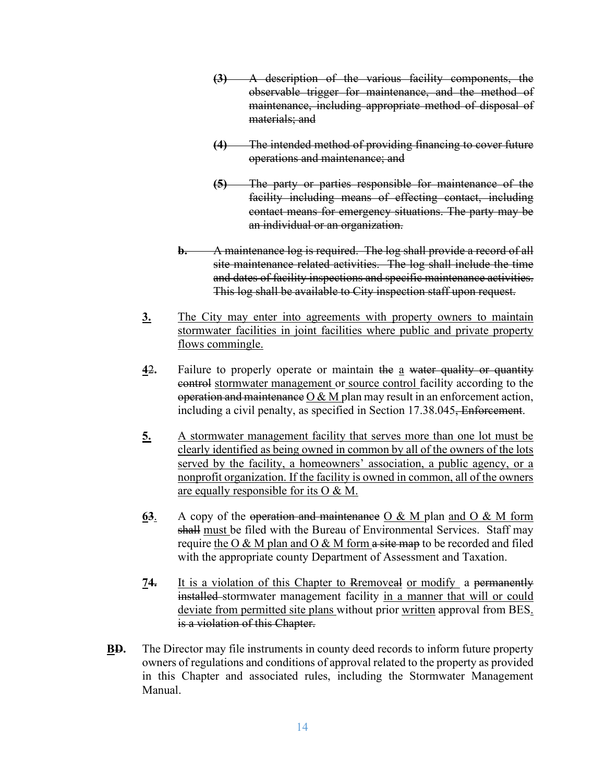- **(3)** A description of the various facility components, the observable trigger for maintenance, and the method of maintenance, including appropriate method of disposal of materials; and
- **(4)** The intended method of providing financing to cover future operations and maintenance; and
- **(5)** The party or parties responsible for maintenance of the facility including means of effecting contact, including contact means for emergency situations. The party may be an individual or an organization.
- **b.** A maintenance log is required. The log shall provide a record of all site maintenance related activities. The log shall include the time and dates of facility inspections and specific maintenance activities. This log shall be available to City inspection staff upon request.
- **3.** The City may enter into agreements with property owners to maintain stormwater facilities in joint facilities where public and private property flows commingle.
- **4**2**.** Failure to properly operate or maintain the a water quality or quantity control stormwater management or source control facility according to the operation and maintenance O & M plan may result in an enforcement action, including a civil penalty, as specified in Section 17.38.045, Enforcement.
- **5.** A stormwater management facility that serves more than one lot must be clearly identified as being owned in common by all of the owners of the lots served by the facility, a homeowners' association, a public agency, or a nonprofit organization. If the facility is owned in common, all of the owners are equally responsible for its O & M.
- **63**. A copy of the operation and maintenance O & M plan and O & M form shall must be filed with the Bureau of Environmental Services. Staff may require the  $O & M$  plan and  $O & M$  form a site map to be recorded and filed with the appropriate county Department of Assessment and Taxation.
- **74.** It is a violation of this Chapter to Rremoveal or modify a permanently installed stormwater management facility in a manner that will or could deviate from permitted site plans without prior written approval from BES. is a violation of this Chapter.
- **BD.** The Director may file instruments in county deed records to inform future property owners of regulations and conditions of approval related to the property as provided in this Chapter and associated rules, including the Stormwater Management Manual.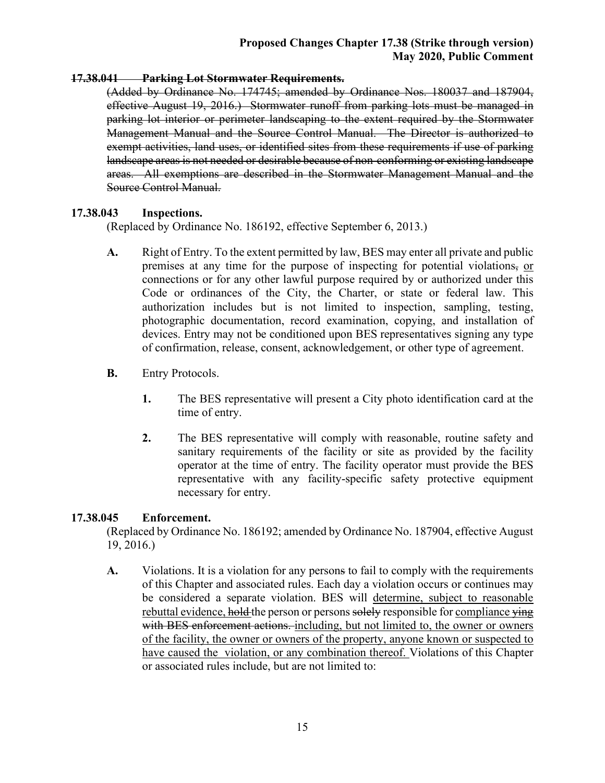#### **17.38.041 Parking Lot Stormwater Requirements.**

(Added by Ordinance No. 174745; amended by Ordinance Nos. 180037 and 187904, effective August 19, 2016.) Stormwater runoff from parking lots must be managed in parking lot interior or perimeter landscaping to the extent required by the Stormwater Management Manual and the Source Control Manual. The Director is authorized to exempt activities, land uses, or identified sites from these requirements if use of parking landscape areas is not needed or desirable because of non-conforming or existing landscape areas. All exemptions are described in the Stormwater Management Manual and the Source Control Manual.

## **17.38.043 Inspections.**

(Replaced by Ordinance No. 186192, effective September 6, 2013.)

- **A.** Right of Entry. To the extent permitted by law, BES may enter all private and public premises at any time for the purpose of inspecting for potential violations, or connections or for any other lawful purpose required by or authorized under this Code or ordinances of the City, the Charter, or state or federal law. This authorization includes but is not limited to inspection, sampling, testing, photographic documentation, record examination, copying, and installation of devices. Entry may not be conditioned upon BES representatives signing any type of confirmation, release, consent, acknowledgement, or other type of agreement.
- **B.** Entry Protocols.
	- **1.** The BES representative will present a City photo identification card at the time of entry.
	- **2.** The BES representative will comply with reasonable, routine safety and sanitary requirements of the facility or site as provided by the facility operator at the time of entry. The facility operator must provide the BES representative with any facility-specific safety protective equipment necessary for entry.

## **17.38.045 Enforcement.**

(Replaced by Ordinance No. 186192; amended by Ordinance No. 187904, effective August 19, 2016.)

**A.** Violations. It is a violation for any persons to fail to comply with the requirements of this Chapter and associated rules. Each day a violation occurs or continues may be considered a separate violation. BES will determine, subject to reasonable rebuttal evidence, hold the person or persons solely responsible for compliance  $\frac{1}{2}$ with BES enforcement actions. including, but not limited to, the owner or owners of the facility, the owner or owners of the property, anyone known or suspected to have caused the violation, or any combination thereof. Violations of this Chapter or associated rules include, but are not limited to: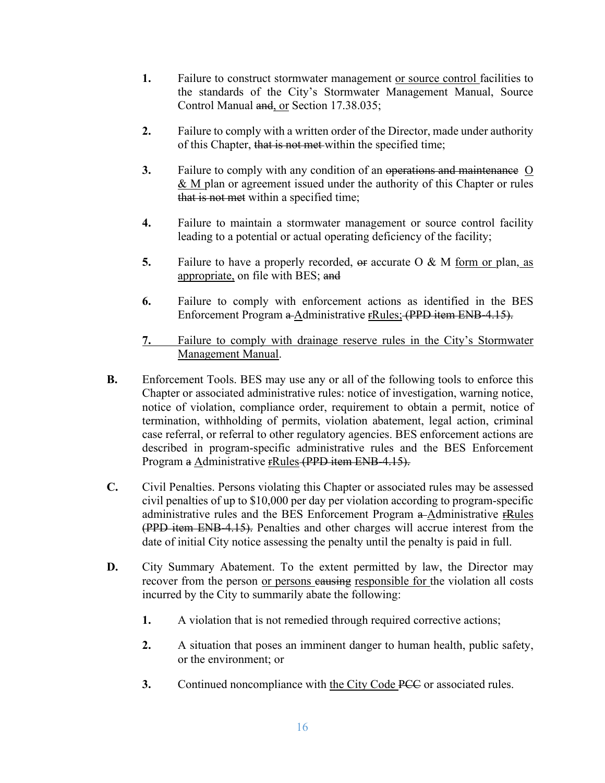- **1.** Failure to construct stormwater management or source control facilities to the standards of the City's Stormwater Management Manual, Source Control Manual and, or Section 17.38.035;
- **2.** Failure to comply with a written order of the Director, made under authority of this Chapter, that is not met within the specified time;
- **3.** Failure to comply with any condition of an operations and maintenance O & M plan or agreement issued under the authority of this Chapter or rules that is not met within a specified time;
- **4.** Failure to maintain a stormwater management or source control facility leading to a potential or actual operating deficiency of the facility;
- **5.** Failure to have a properly recorded, or accurate O & M form or plan, as appropriate, on file with BES; and
- **6.** Failure to comply with enforcement actions as identified in the BES Enforcement Program a Administrative rRules; (PPD item ENB-4.15).
- **7.** Failure to comply with drainage reserve rules in the City's Stormwater Management Manual.
- **B.** Enforcement Tools. BES may use any or all of the following tools to enforce this Chapter or associated administrative rules: notice of investigation, warning notice, notice of violation, compliance order, requirement to obtain a permit, notice of termination, withholding of permits, violation abatement, legal action, criminal case referral, or referral to other regulatory agencies. BES enforcement actions are described in program-specific administrative rules and the BES Enforcement Program a Administrative rRules (PPD item ENB-4.15).
- **C.** Civil Penalties. Persons violating this Chapter or associated rules may be assessed civil penalties of up to \$10,000 per day per violation according to program-specific administrative rules and the BES Enforcement Program a-Administrative rRules (PPD item ENB-4.15). Penalties and other charges will accrue interest from the date of initial City notice assessing the penalty until the penalty is paid in full.
- **D.** City Summary Abatement. To the extent permitted by law, the Director may recover from the person or persons eausing responsible for the violation all costs incurred by the City to summarily abate the following:
	- **1.** A violation that is not remedied through required corrective actions;
	- **2.** A situation that poses an imminent danger to human health, public safety, or the environment; or
	- **3.** Continued noncompliance with the City Code PCC or associated rules.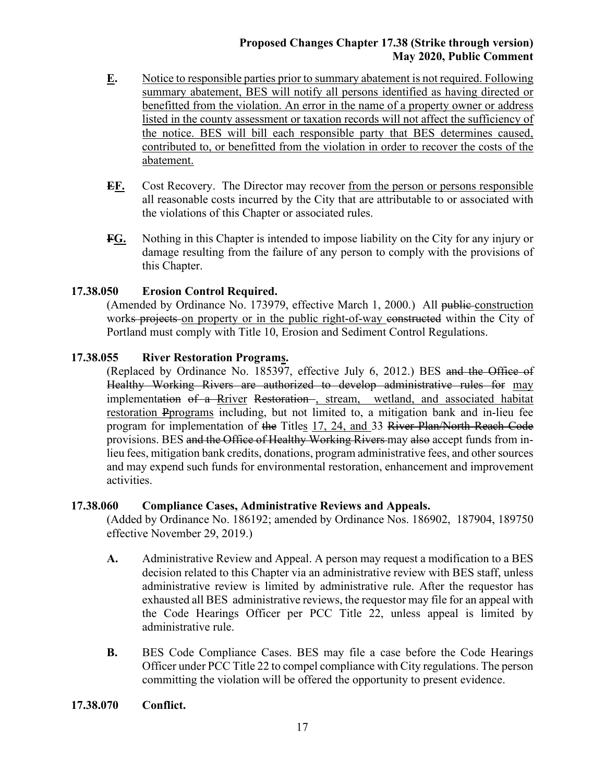- **E.** Notice to responsible parties prior to summary abatement is not required. Following summary abatement, BES will notify all persons identified as having directed or benefitted from the violation. An error in the name of a property owner or address listed in the county assessment or taxation records will not affect the sufficiency of the notice. BES will bill each responsible party that BES determines caused, contributed to, or benefitted from the violation in order to recover the costs of the abatement.
- **EF.** Cost Recovery. The Director may recover from the person or persons responsible all reasonable costs incurred by the City that are attributable to or associated with the violations of this Chapter or associated rules.
- **FG.** Nothing in this Chapter is intended to impose liability on the City for any injury or damage resulting from the failure of any person to comply with the provisions of this Chapter.

# **17.38.050 Erosion Control Required.**

(Amended by Ordinance No. 173979, effective March 1, 2000.) All public construction works projects on property or in the public right-of-way constructed within the City of Portland must comply with Title 10, Erosion and Sediment Control Regulations.

# **17.38.055 River Restoration Programs.**

(Replaced by Ordinance No. 185397, effective July 6, 2012.) BES and the Office of Healthy Working Rivers are authorized to develop administrative rules for may implementation of a Rriver Restoration-, stream, wetland, and associated habitat restoration Pprograms including, but not limited to, a mitigation bank and in-lieu fee program for implementation of the Titles 17, 24, and 33 River Plan/North Reach Code provisions. BES and the Office of Healthy Working Rivers may also accept funds from inlieu fees, mitigation bank credits, donations, program administrative fees, and other sources and may expend such funds for environmental restoration, enhancement and improvement activities.

# **17.38.060 Compliance Cases, Administrative Reviews and Appeals.**

(Added by Ordinance No. 186192; amended by Ordinance Nos. 186902, 187904, 189750 effective November 29, 2019.)

- **A.** Administrative Review and Appeal. A person may request a modification to a BES decision related to this Chapter via an administrative review with BES staff, unless administrative review is limited by administrative rule. After the requestor has exhausted all BES administrative reviews, the requestor may file for an appeal with the Code Hearings Officer per PCC Title 22, unless appeal is limited by administrative rule.
- **B.** BES Code Compliance Cases. BES may file a case before the Code Hearings Officer under PCC Title 22 to compel compliance with City regulations. The person committing the violation will be offered the opportunity to present evidence.
- **17.38.070 Conflict.**